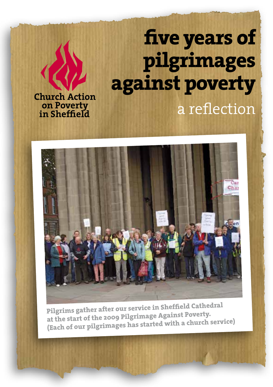# **five years of pilgrimages against poverty** a reflection

**Church Action on Poverty in Sheffield**



**Pilgrims gather after our service in Sheffield Cathedral at the start of the 2009 Pilgrimage Against Poverty. (Each of our pilgrimages has started with a church service)**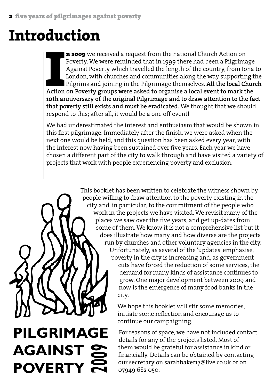### **Introduction**

**Action on Poverty.** We were reminded that in 1999 there had been a Pilgrimage Against Poverty which travelled the length of the country, from Iona London, with churches and communities along the way supporting the Pilgrim n 2009 we received a request from the national Church Action on Poverty. We were reminded that in 1999 there had been a Pilgrimage Against Poverty which travelled the length of the country, from Iona to London, with churches and communities along the way supporting the Pilgrims and joining in the Pilgrimage themselves. **All the local Church 10th anniversary of the original Pilgrimage and to draw attention to the fact that poverty still exists and must be eradicated.** We thought that we should respond to this; after all, it would be a one off event!

We had underestimated the interest and enthusiasm that would be shown in this first pilgrimage. Immediately after the finish, we were asked when the next one would be held, and this question has been asked every year, with the interest now having been sustained over five years. Each year we have chosen a different part of the city to walk through and have visited a variety of projects that work with people experiencing poverty and exclusion.

> This booklet has been written to celebrate the witness shown by people willing to draw attention to the poverty existing in the city and, in particular, to the commitment of the people who work in the projects we have visited. We revisit many of the places we saw over the five years, and get up-dates from some of them. We know it is not a comprehensive list but it does illustrate how many and how diverse are the projects run by churches and other voluntary agencies in the city. Unfortunately, as several of the 'updates' emphasise, poverty in the city is increasing and, as government

cuts have forced the reduction of some services, the demand for many kinds of assistance continues to grow. One major development between 2009 and now is the emergence of many food banks in the city.

We hope this booklet will stir some memories, initiate some reflection and encourage us to continue our campaigning.

For reasons of space, we have not included contact details for any of the projects listed. Most of them would be grateful for assistance in kind or financially. Details can be obtained by contacting our secretary on sarahbaker17@live.co.uk or on 07949 682 050.

### **PILGRIMAGE AGAINST POVERTY 9**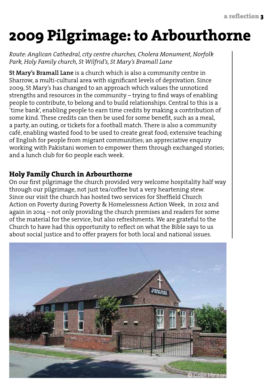## **2009 Pilgrimage: to Arbourthorne**

*Route: Anglican Cathedral, city centre churches, Cholera Monument, Norfolk Park, Holy Family church, St Wilfrid's, St Mary's Bramall Lane*

**St Mary's Bramall Lane** is a church which is also a community centre in Sharrow, a multi-cultural area with significant levels of deprivation. Since 2009, St Mary's has changed to an approach which values the unnoticed strengths and resources in the community – trying to find ways of enabling people to contribute, to belong and to build relationships. Central to this is a 'time bank', enabling people to earn time credits by making a contribution of some kind. These credits can then be used for some benefit, such as a meal, a party, an outing, or tickets for a football match. There is also a community café, enabling wasted food to be used to create great food; extensive teaching of English for people from migrant communities; an appreciative enquiry working with Pakistani women to empower them through exchanged stories; and a lunch club for 60 people each week.

#### **Holy Family Church in Arbourthorne**

On our first pilgrimage the church provided very welcome hospitality half way through our pilgrimage, not just tea/coffee but a very heartening stew. Since our visit the church has hosted two services for Sheffield Church Action on Poverty during Poverty & Homelessness Action Week, in 2012 and again in 2014 – not only providing the church premises and readers for some of the material for the service, but also refreshments. We are grateful to the Church to have had this opportunity to reflect on what the Bible says to us about social justice and to offer prayers for both local and national issues.

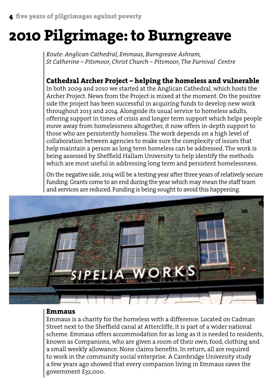### **2010 Pilgrimage: to Burngreave**

*Route: Anglican Cathedral, Emmaus, Burngreave Ashram, St Catherine – Pitsmoor, Christ Church – Pitsmoor, The Furnival Centre*

#### **Cathedral Archer Project – helping the homeless and vulnerable**

In both 2009 and 2010 we started at the Anglican Cathedral, which hosts the Archer Project. News from the Project is mixed at the moment. On the positive side the project has been successful in acquiring funds to develop new work throughout 2013 and 2014. Alongside its usual service to homeless adults, offering support in times of crisis and longer term support which helps people move away from homelessness altogether, it now offers in-depth support to those who are persistently homeless. The work depends on a high level of collaboration between agencies to make sure the complexity of issues that help maintain a person as long term homeless can be addressed. The work is being assessed by Sheffield Hallam University to help identify the methods which are most useful in addressing long term and persistent homelessness.

On the negative side, 2014 will be a testing year after three years of relatively secure funding. Grants come to an end during the year which may mean the staff team and services are reduced. Funding is being sought to avoid this happening.



#### **Emmaus**

Emmaus is a charity for the homeless with a difference. Located on Cadman Street next to the Sheffield canal at Attercliffe, it is part of a wider national scheme. Emmaus offers accommodation for as long as it is needed to residents, known as Companions, who are given a room of their own, food, clothing and a small weekly allowance. None claims benefits. In return, all are required to work in the community social enterprise. A Cambridge University study a few years ago showed that every companion living in Emmaus saves the government £32,000.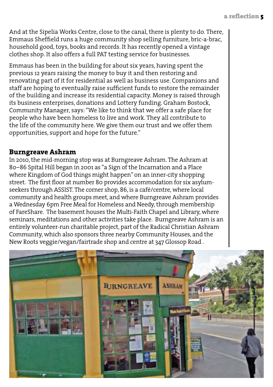And at the Sipelia Works Centre, close to the canal, there is plenty to do. There, Emmaus Sheffield runs a huge community shop selling furniture, bric-a-brac, household good, toys, books and records. It has recently opened a vintage clothes shop. It also offers a full PAT testing service for businesses.

Emmaus has been in the building for about six years, having spent the previous 12 years raising the money to buy it and then restoring and renovating part of it for residential as well as business use. Companions and staff are hoping to eventually raise sufficient funds to restore the remainder of the building and increase its residential capacity. Money is raised through its business enterprises, donations and Lottery funding. Graham Bostock, Community Manager, says: "We like to think that we offer a safe place for people who have been homeless to live and work. They all contribute to the life of the community here. We give them our trust and we offer them opportunities, support and hope for the future."

#### **Burngreave Ashram**

In 2010, the mid-morning stop was at Burngreave Ashram. The Ashram at 80–86 Spital Hill began in 2001 as "a Sign of the Incarnation and a Place where Kingdom of God things might happen" on an inner-city shopping street. The first floor at number 80 provides accommodation for six asylumseekers through ASSIST. The corner shop, 86, is a café/centre, where local community and health groups meet, and where Burngreave Ashram provides a Wednesday 6pm Free Meal for Homeless and Needy, through membership of FareShare. The basement houses the Multi-Faith Chapel and Library, where seminars, meditations and other activities take place. Burngreave Ashram is an entirely volunteer-run charitable project, part of the Radical Christian Ashram Community, which also sponsors three nearby Community Houses, and the New Roots veggie/vegan/fairtrade shop and centre at 347 Glossop Road .

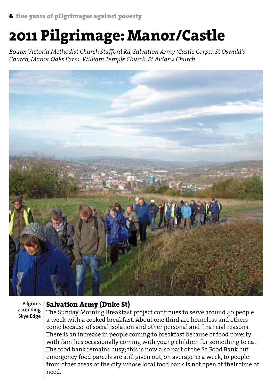### **2011 Pilgrimage: Manor/Castle**

*Route: Victoria Methodist Church Stafford Rd, Salvation Army (Castle Corps), St Oswald's Church, Manor Oaks Farm, William Temple Church, St Aidan's Church*



**Pilgrims ascending Skye Edge**

#### **Salvation Army (Duke St)**

The Sunday Morning Breakfast project continues to serve around 40 people a week with a cooked breakfast. About one third are homeless and others come because of social isolation and other personal and financial reasons. There is an increase in people coming to breakfast because of food poverty with families occasionally coming with young children for something to eat. The food bank remains busy; this is now also part of the S2 Food Bank but emergency food parcels are still given out, on average 12 a week, to people from other areas of the city whose local food bank is not open at their time of need.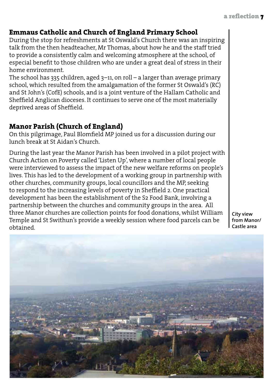#### **Emmaus Catholic and Church of England Primary School**

During the stop for refreshments at St Oswald's Church there was an inspiring talk from the then headteacher, Mr Thomas, about how he and the staff tried to provide a consistently calm and welcoming atmosphere at the school, of especial benefit to those children who are under a great deal of stress in their home environment.

The school has 335 children, aged 3–11, on roll – a larger than average primary school, which resulted from the amalgamation of the former St Oswald's (RC) and St John's (CofE) schools, and is a joint venture of the Hallam Catholic and Sheffield Anglican dioceses. It continues to serve one of the most materially deprived areas of Sheffield.

#### **Manor Parish (Church of England)**

On this pilgrimage, Paul Blomfield MP joined us for a discussion during our lunch break at St Aidan's Church.

During the last year the Manor Parish has been involved in a pilot project with Church Action on Poverty called 'Listen Up', where a number of local people were interviewed to assess the impact of the new welfare reforms on people's lives. This has led to the development of a working group in partnership with other churches, community groups, local councillors and the MP, seeking to respond to the increasing levels of poverty in Sheffield 2. One practical development has been the establishment of the S2 Food Bank, involving a partnership between the churches and community groups in the area. All three Manor churches are collection points for food donations, whilst William Temple and St Swithun's provide a weekly session where food parcels can be obtained.

**City view from Manor/ Castle area**

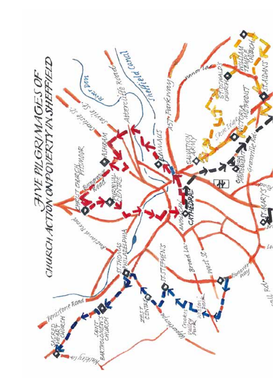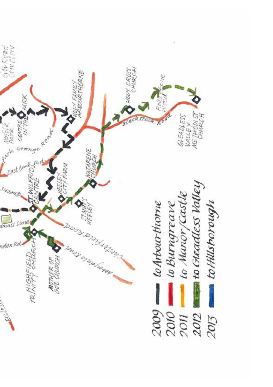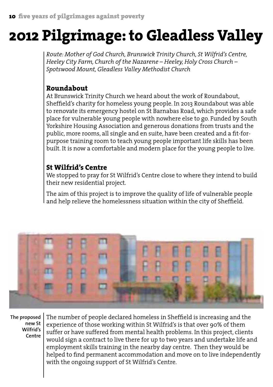### **2012 Pilgrimage: to Gleadless Valley**

*Route: Mother of God Church, Brunswick Trinity Church, St Wilfrid's Centre, Heeley City Farm, Church of the Nazarene – Heeley, Holy Cross Church – Spotswood Mount, Gleadless Valley Methodist Church*

#### **Roundabout**

At Brunswick Trinity Church we heard about the work of Roundabout, Sheffield's charity for homeless young people. In 2013 Roundabout was able to renovate its emergency hostel on St Barnabas Road, which provides a safe place for vulnerable young people with nowhere else to go. Funded by South Yorkshire Housing Association and generous donations from trusts and the public, more rooms, all single and en suite, have been created and a fit-forpurpose training room to teach young people important life skills has been built. It is now a comfortable and modern place for the young people to live.

#### **St Wilfrid's Centre**

We stopped to pray for St Wilfrid's Centre close to where they intend to build their new residential project.

The aim of this project is to improve the quality of life of vulnerable people and help relieve the homelessness situation within the city of Sheffield.



**The proposed new St Wilfrid's Centre**

The number of people declared homeless in Sheffield is increasing and the experience of those working within St Wilfrid's is that over 90% of them suffer or have suffered from mental health problems. In this project, clients would sign a contract to live there for up to two years and undertake life and employment skills training in the nearby day centre. Then they would be helped to find permanent accommodation and move on to live independently with the ongoing support of St Wilfrid's Centre.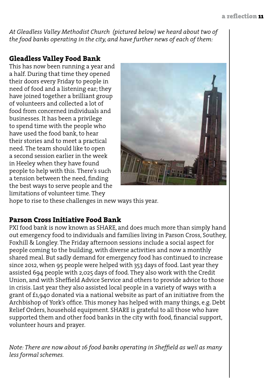*At Gleadless Valley Methodist Church (pictured below) we heard about two of the food banks operating in the city, and have further news of each of them:*

#### **Gleadless Valley Food Bank**

This has now been running a year and a half. During that time they opened their doors every Friday to people in need of food and a listening ear; they have joined together a brilliant group of volunteers and collected a lot of food from concerned individuals and businesses. It has been a privilege to spend time with the people who have used the food bank, to hear their stories and to meet a practical need. The team should like to open a second session earlier in the week in Heeley when they have found people to help with this. There's such a tension between the need, finding the best ways to serve people and the limitations of volunteer time. They



hope to rise to these challenges in new ways this year.

#### **Parson Cross Initiative Food Bank**

PXI food bank is now known as SHARE, and does much more than simply hand out emergency food to individuals and families living in Parson Cross, Southey, Foxhill & Longley. The Friday afternoon sessions include a social aspect for people coming to the building, with diverse activities and now a monthly shared meal. But sadly demand for emergency food has continued to increase since 2012, when 95 people were helped with 353 days of food. Last year they assisted 694 people with 2,025 days of food. They also work with the Credit Union, and with Sheffield Advice Service and others to provide advice to those in crisis. Last year they also assisted local people in a variety of ways with a grant of £1,940 donated via a national website as part of an initiative from the Archbishop of York's office. This money has helped with many things, e.g. Debt Relief Orders, household equipment. SHARE is grateful to all those who have supported them and other food banks in the city with food, financial support, volunteer hours and prayer.

*Note: There are now about 16 food banks operating in Sheffield as well as many less formal schemes.*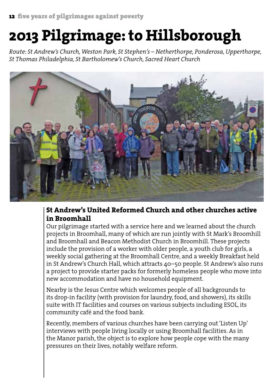### **2013 Pilgrimage: to Hillsborough**

*Route: St Andrew's Church, Weston Park, St Stephen's – Netherthorpe, Ponderosa, Upperthorpe, St Thomas Philadelphia, St Bartholomew's Church, Sacred Heart Church*



#### **St Andrew's United Reformed Church and other churches active in Broomhall**

Our pilgrimage started with a service here and we learned about the church projects in Broomhall, many of which are run jointly with St Mark's Broomhill and Broomhall and Beacon Methodist Church in Broomhill. These projects include the provision of a worker with older people, a youth club for girls, a weekly social gathering at the Broomhall Centre, and a weekly Breakfast held in St Andrew's Church Hall, which attracts 40–50 people. St Andrew's also runs a project to provide starter packs for formerly homeless people who move into new accommodation and have no household equipment.

Nearby is the Jesus Centre which welcomes people of all backgrounds to its drop-in facility (with provision for laundry, food, and showers), its skills suite with IT facilities and courses on various subjects including ESOL, its community café and the food bank.

Recently, members of various churches have been carrying out 'Listen Up' interviews with people living locally or using Broomhall facilities. As in the Manor parish, the object is to explore how people cope with the many pressures on their lives, notably welfare reform.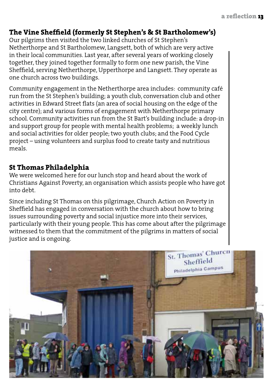#### **The Vine Sheffield (formerly St Stephen's & St Bartholomew's)**

Our pilgrims then visited the two linked churches of St Stephen's Netherthorpe and St Bartholomew, Langsett, both of which are very active in their local communities. Last year, after several years of working closely together, they joined together formally to form one new parish, the Vine Sheffield, serving Netherthorpe, Upperthorpe and Langsett. They operate as one church across two buildings.

Community engagement in the Netherthorpe area includes: community café run from the St Stephen's building; a youth club, conversation club and other activities in Edward Street flats (an area of social housing on the edge of the city centre); and various forms of engagement with Netherthorpe primary school. Community activities run from the St Bart's building include: a drop-in and support group for people with mental health problems; a weekly lunch and social activities for older people; two youth clubs; and the Food Cycle project – using volunteers and surplus food to create tasty and nutritious meals.

#### **St Thomas Philadelphia**

We were welcomed here for our lunch stop and heard about the work of Christians Against Poverty, an organisation which assists people who have got into debt.

Since including St Thomas on this pilgrimage, Church Action on Poverty in Sheffield has engaged in conversation with the church about how to bring issues surrounding poverty and social injustice more into their services, particularly with their young people. This has come about after the pilgrimage witnessed to them that the commitment of the pilgrims in matters of social justice and is ongoing.

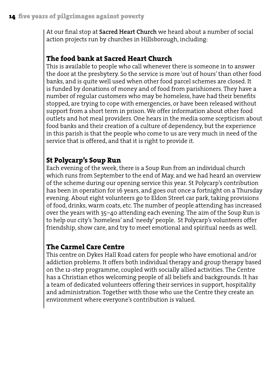At our final stop at **Sacred Heart Church** we heard about a number of social action projects run by churches in Hillsborough, including:

#### **The food bank at Sacred Heart Church**

This is available to people who call whenever there is someone in to answer the door at the presbytery. So the service is more 'out of hours' than other food banks, and is quite well used when other food parcel schemes are closed. It is funded by donations of money and of food from parishioners. They have a number of regular customers who may be homeless, have had their benefits stopped, are trying to cope with emergencies, or have been released without support from a short term in prison. We offer information about other food outlets and hot meal providers. One hears in the media some scepticism about food banks and their creation of a culture of dependency, but the experience in this parish is that the people who come to us are very much in need of the service that is offered, and that it is right to provide it.

#### **St Polycarp's Soup Run**

Each evening of the week, there is a Soup Run from an individual church which runs from September to the end of May, and we had heard an overview of the scheme during our opening service this year. St Polycarp's contribution has been in operation for 16 years, and goes out once a fortnight on a Thursday evening. About eight volunteers go to Eldon Street car park, taking provisions of food, drinks, warm coats, etc. The number of people attending has increased over the years with 35–40 attending each evening. The aim of the Soup Run is to help our city's 'homeless' and 'needy' people. St Polycarp's volunteers offer friendship, show care, and try to meet emotional and spiritual needs as well.

#### **The Carmel Care Centre**

This centre on Dykes Hall Road caters for people who have emotional and/or addiction problems. It offers both individual therapy and group therapy based on the 12-step programme, coupled with socially allied activities. The Centre has a Christian ethos welcoming people of all beliefs and backgrounds. It has a team of dedicated volunteers offering their services in support, hospitality and administration. Together with those who use the Centre they create an environment where everyone's contribution is valued.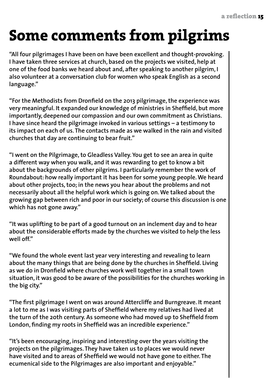### **Some comments from pilgrims**

**"All four pilgrimages I have been on have been excellent and thought-provoking. I have taken three services at church, based on the projects we visited, help at one of the food banks we heard about and, after speaking to another pilgrim, I also volunteer at a conversation club for women who speak English as a second language."**

**"For the Methodists from Dronfield on the 2013 pilgrimage, the experience was very meaningful. It expanded our knowledge of ministries in Sheffield, but more importantly, deepened our compassion and our own commitment as Christians. I have since heard the pilgrimage invoked in various settings – a testimony to its impact on each of us. The contacts made as we walked in the rain and visited churches that day are continuing to bear fruit."**

**"I went on the Pilgrimage, to Gleadless Valley. You get to see an area in quite a different way when you walk, and it was rewarding to get to know a bit about the backgrounds of other pilgrims. I particularly remember the work of Roundabout: how really important it has been for some young people. We heard about other projects, too; in the news you hear about the problems and not necessarily about all the helpful work which is going on.We talked about the growing gap between rich and poor in our society; of course this discussion is one which has not gone away."**

**"It was uplifting to be part of a good turnout on an inclement day and to hear about the considerable efforts made by the churches we visited to help the less well off."**

**"We found the whole event last year very interesting and revealing to learn about the many things that are being done by the churches in Sheffield. Living as we do in Dronfield where churches work well together in a small town situation, it was good to be aware of the possibilities for the churches working in the big city."**

**"The first pilgrimage I went on was around Attercliffe and Burngreave. It meant a lot to me as I was visiting parts of Sheffield where my relatives had lived at the turn of the 20th century. As someone who had moved up to Sheffield from London, finding my roots in Sheffield was an incredible experience."**

**"It's been encouraging, inspiring and interesting over the years visiting the projects on the pilgrimages. They have taken us to places we would never have visited and to areas of Sheffield we would not have gone to either. The ecumenical side to the Pilgrimages are also important and enjoyable."**